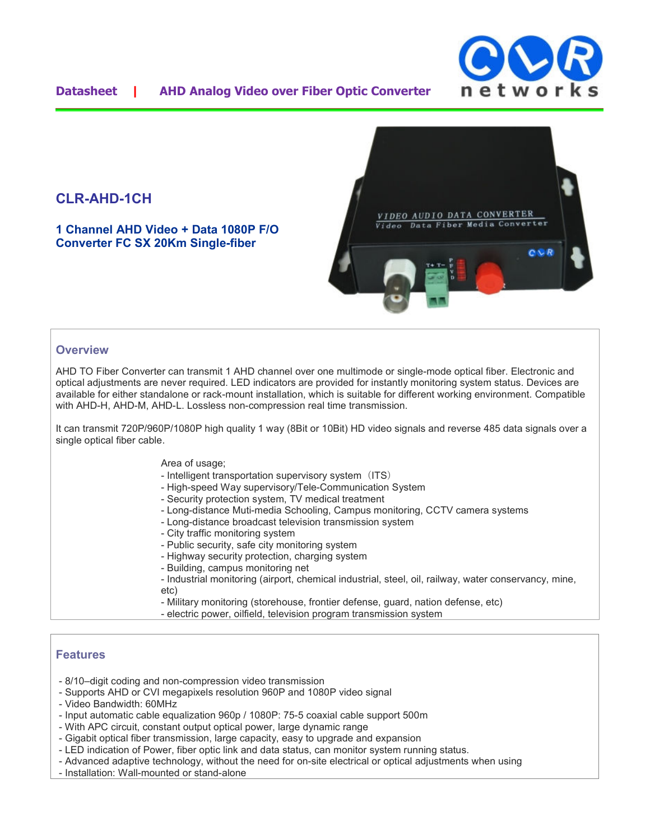

## **Datasheet | AHD Analog Video over Fiber Optic Converter**

# **CLR-AHD-1CH**

**1 Channel AHD Video + Data 1080P F/O Converter FC SX 20Km Single-fiber**



### **Overview**

AHD TO Fiber Converter can transmit 1 AHD channel over one multimode or single-mode optical fiber. Electronic and optical adjustments are never required. LED indicators are provided for instantly monitoring system status. Devices are available for either standalone or rack-mount installation, which is suitable for different working environment. Compatible with AHD-H, AHD-M, AHD-L. Lossless non-compression real time transmission.

It can transmit 720P/960P/1080P high quality 1 way (8Bit or 10Bit) HD video signals and reverse 485 data signals over a single optical fiber cable.

#### Area of usage;

- Intelligent transportation supervisory system (ITS)
- High-speed Way supervisory/Tele-Communication System
- Security protection system, TV medical treatment
- Long-distance Muti-media Schooling, Campus monitoring, CCTV camera systems
- Long-distance broadcast television transmission system
- City traffic monitoring system
- Public security, safe city monitoring system
- Highway security protection, charging system
- Building, campus monitoring net
- Industrial monitoring (airport, chemical industrial, steel, oil, railway, water conservancy, mine, etc)
- Military monitoring (storehouse, frontier defense, guard, nation defense, etc)
- electric power, oilfield, television program transmission system

#### **Features**

- 8/10–digit coding and non-compression video transmission
- Supports AHD or CVI megapixels resolution 960P and 1080P video signal
- Video Bandwidth: 60MHz
- Input automatic cable equalization 960p / 1080P: 75-5 coaxial cable support 500m
- With APC circuit, constant output optical power, large dynamic range
- Gigabit optical fiber transmission, large capacity, easy to upgrade and expansion
- LED indication of Power, fiber optic link and data status, can monitor system running status.
- Advanced adaptive technology, without the need for on-site electrical or optical adjustments when using
- Installation: Wall-mounted or stand-alone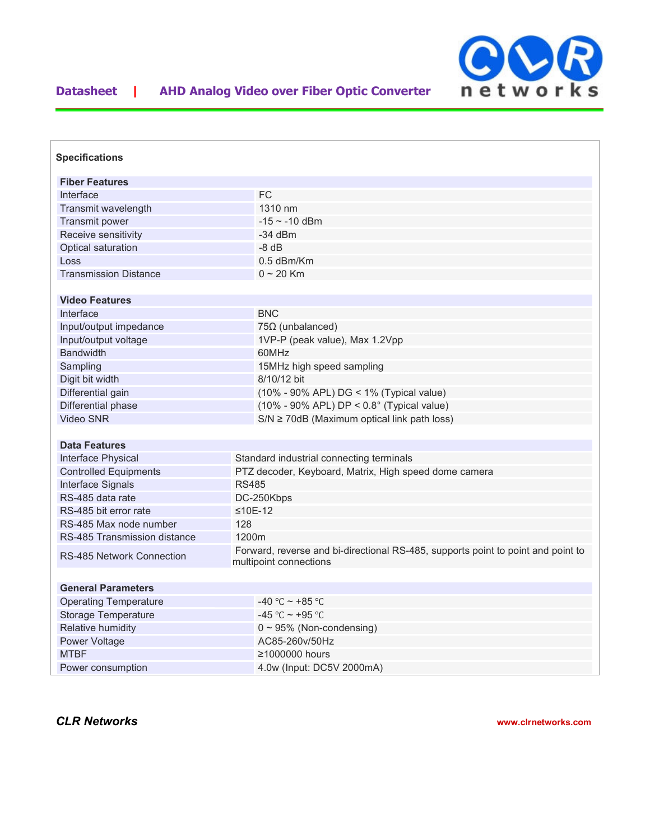

| <b>Specifications</b>        |                                                                                                            |                                                        |
|------------------------------|------------------------------------------------------------------------------------------------------------|--------------------------------------------------------|
| <b>Fiber Features</b>        |                                                                                                            |                                                        |
| Interface                    |                                                                                                            | <b>FC</b>                                              |
| Transmit wavelength          |                                                                                                            | 1310 nm                                                |
| Transmit power               |                                                                                                            | $-15$ ~ $-10$ dBm                                      |
| Receive sensitivity          |                                                                                                            | $-34$ dBm                                              |
| Optical saturation           |                                                                                                            | $-8$ dB                                                |
| Loss                         |                                                                                                            | $0.5$ dBm/Km                                           |
| <b>Transmission Distance</b> |                                                                                                            | $0 \sim 20$ Km                                         |
|                              |                                                                                                            |                                                        |
| <b>Video Features</b>        |                                                                                                            |                                                        |
| Interface                    |                                                                                                            | <b>BNC</b>                                             |
| Input/output impedance       |                                                                                                            | $75\Omega$ (unbalanced)                                |
| Input/output voltage         |                                                                                                            | 1VP-P (peak value), Max 1.2Vpp                         |
| <b>Bandwidth</b>             |                                                                                                            | 60MHz                                                  |
| Sampling                     |                                                                                                            | 15MHz high speed sampling                              |
| Digit bit width              |                                                                                                            | 8/10/12 bit                                            |
| Differential gain            |                                                                                                            | (10% - 90% APL) DG < 1% (Typical value)                |
| Differential phase           |                                                                                                            | $(10\% - 90\%$ APL) DP < $0.8^{\circ}$ (Typical value) |
| <b>Video SNR</b>             |                                                                                                            | $S/N \ge 70$ dB (Maximum optical link path loss)       |
|                              |                                                                                                            |                                                        |
| <b>Data Features</b>         |                                                                                                            |                                                        |
| Interface Physical           | Standard industrial connecting terminals                                                                   |                                                        |
| <b>Controlled Equipments</b> | PTZ decoder, Keyboard, Matrix, High speed dome camera                                                      |                                                        |
| Interface Signals            | <b>RS485</b>                                                                                               |                                                        |
| RS-485 data rate             | DC-250Kbps                                                                                                 |                                                        |
| RS-485 bit error rate        | ≤10E-12                                                                                                    |                                                        |
| RS-485 Max node number       | 128                                                                                                        |                                                        |
| RS-485 Transmission distance | 1200m                                                                                                      |                                                        |
| RS-485 Network Connection    | Forward, reverse and bi-directional RS-485, supports point to point and point to<br>multipoint connections |                                                        |
|                              |                                                                                                            |                                                        |
| <b>General Parameters</b>    |                                                                                                            |                                                        |
| <b>Operating Temperature</b> |                                                                                                            | $-40$ °C ~ +85 °C                                      |
| <b>Storage Temperature</b>   |                                                                                                            | -45 °C ~ +95 °C                                        |
| Relative humidity            |                                                                                                            | $0 \sim 95\%$ (Non-condensing)                         |
| Power Voltage                |                                                                                                            | AC85-260v/50Hz                                         |
| <b>MTBF</b>                  |                                                                                                            | ≥1000000 hours                                         |
| Power consumption            |                                                                                                            | 4.0w (Input: DC5V 2000mA)                              |